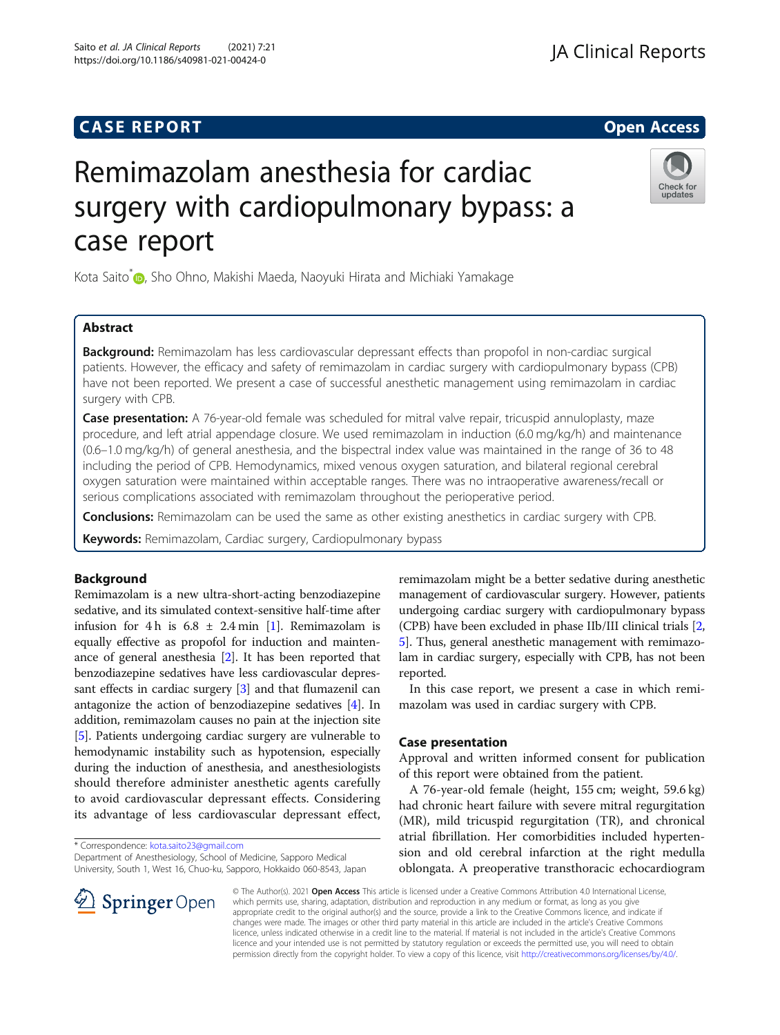# **CASE REPORT And SERVICE SERVICE SERVICE SERVICE SERVICE SERVICE SERVICE SERVICE SERVICE SERVICE SERVICE SERVICE**

# Remimazolam anesthesia for cardiac surgery with cardiopulmonary bypass: a case report

Kota Saito<sup>\*</sup> <sub>(D</sub>[,](http://orcid.org/0000-0001-5545-0242) Sho Ohno, Makishi Maeda, Naoyuki Hirata and Michiaki Yamakage

# Abstract

Background: Remimazolam has less cardiovascular depressant effects than propofol in non-cardiac surgical patients. However, the efficacy and safety of remimazolam in cardiac surgery with cardiopulmonary bypass (CPB) have not been reported. We present a case of successful anesthetic management using remimazolam in cardiac surgery with CPB.

Case presentation: A 76-year-old female was scheduled for mitral valve repair, tricuspid annuloplasty, maze procedure, and left atrial appendage closure. We used remimazolam in induction (6.0 mg/kg/h) and maintenance (0.6–1.0 mg/kg/h) of general anesthesia, and the bispectral index value was maintained in the range of 36 to 48 including the period of CPB. Hemodynamics, mixed venous oxygen saturation, and bilateral regional cerebral oxygen saturation were maintained within acceptable ranges. There was no intraoperative awareness/recall or serious complications associated with remimazolam throughout the perioperative period.

**Conclusions:** Remimazolam can be used the same as other existing anesthetics in cardiac surgery with CPB.

Keywords: Remimazolam, Cardiac surgery, Cardiopulmonary bypass

### Background

Remimazolam is a new ultra-short-acting benzodiazepine sedative, and its simulated context-sensitive half-time after infusion for 4 h is  $6.8 \pm 2.4$  min [\[1](#page-3-0)]. Remimazolam is equally effective as propofol for induction and maintenance of general anesthesia [[2\]](#page-3-0). It has been reported that benzodiazepine sedatives have less cardiovascular depressant effects in cardiac surgery [\[3](#page-3-0)] and that flumazenil can antagonize the action of benzodiazepine sedatives [\[4\]](#page-3-0). In addition, remimazolam causes no pain at the injection site [[5\]](#page-3-0). Patients undergoing cardiac surgery are vulnerable to hemodynamic instability such as hypotension, especially during the induction of anesthesia, and anesthesiologists should therefore administer anesthetic agents carefully to avoid cardiovascular depressant effects. Considering its advantage of less cardiovascular depressant effect,

\* Correspondence: [kota.saito23@gmail.com](mailto:kota.saito23@gmail.com)

Department of Anesthesiology, School of Medicine, Sapporo Medical University, South 1, West 16, Chuo-ku, Sapporo, Hokkaido 060-8543, Japan

remimazolam might be a better sedative during anesthetic management of cardiovascular surgery. However, patients undergoing cardiac surgery with cardiopulmonary bypass (CPB) have been excluded in phase IIb/III clinical trials [[2](#page-3-0), [5\]](#page-3-0). Thus, general anesthetic management with remimazolam in cardiac surgery, especially with CPB, has not been reported.

In this case report, we present a case in which remimazolam was used in cardiac surgery with CPB.

## Case presentation

Approval and written informed consent for publication of this report were obtained from the patient.

A 76-year-old female (height, 155 cm; weight, 59.6 kg) had chronic heart failure with severe mitral regurgitation (MR), mild tricuspid regurgitation (TR), and chronical atrial fibrillation. Her comorbidities included hypertension and old cerebral infarction at the right medulla oblongata. A preoperative transthoracic echocardiogram

© The Author(s). 2021 Open Access This article is licensed under a Creative Commons Attribution 4.0 International License, which permits use, sharing, adaptation, distribution and reproduction in any medium or format, as long as you give appropriate credit to the original author(s) and the source, provide a link to the Creative Commons licence, and indicate if changes were made. The images or other third party material in this article are included in the article's Creative Commons licence, unless indicated otherwise in a credit line to the material. If material is not included in the article's Creative Commons licence and your intended use is not permitted by statutory regulation or exceeds the permitted use, you will need to obtain permission directly from the copyright holder. To view a copy of this licence, visit <http://creativecommons.org/licenses/by/4.0/>.





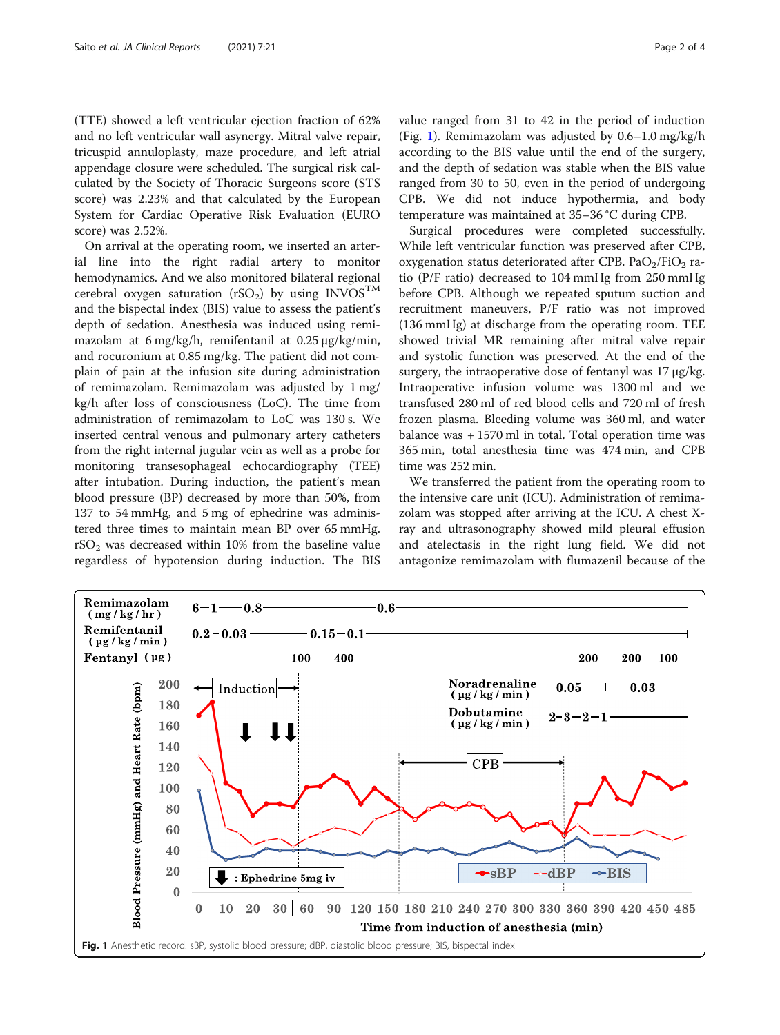(TTE) showed a left ventricular ejection fraction of 62% and no left ventricular wall asynergy. Mitral valve repair, tricuspid annuloplasty, maze procedure, and left atrial appendage closure were scheduled. The surgical risk calculated by the Society of Thoracic Surgeons score (STS score) was 2.23% and that calculated by the European System for Cardiac Operative Risk Evaluation (EURO score) was 2.52%.

On arrival at the operating room, we inserted an arterial line into the right radial artery to monitor hemodynamics. And we also monitored bilateral regional cerebral oxygen saturation (rSO<sub>2</sub>) by using INVOS<sup>TM</sup> and the bispectal index (BIS) value to assess the patient's depth of sedation. Anesthesia was induced using remimazolam at 6 mg/kg/h, remifentanil at 0.25 μg/kg/min, and rocuronium at 0.85 mg/kg. The patient did not complain of pain at the infusion site during administration of remimazolam. Remimazolam was adjusted by 1 mg/ kg/h after loss of consciousness (LoC). The time from administration of remimazolam to LoC was 130 s. We inserted central venous and pulmonary artery catheters from the right internal jugular vein as well as a probe for monitoring transesophageal echocardiography (TEE) after intubation. During induction, the patient's mean blood pressure (BP) decreased by more than 50%, from 137 to 54 mmHg, and 5 mg of ephedrine was administered three times to maintain mean BP over 65 mmHg.  $rSO<sub>2</sub>$  was decreased within 10% from the baseline value regardless of hypotension during induction. The BIS value ranged from 31 to 42 in the period of induction (Fig. 1). Remimazolam was adjusted by  $0.6-1.0$  mg/kg/h according to the BIS value until the end of the surgery, and the depth of sedation was stable when the BIS value ranged from 30 to 50, even in the period of undergoing CPB. We did not induce hypothermia, and body temperature was maintained at 35–36 °C during CPB.

Surgical procedures were completed successfully. While left ventricular function was preserved after CPB, oxygenation status deteriorated after CPB. Pa $O<sub>2</sub>/FiO<sub>2</sub>$  ratio (P/F ratio) decreased to 104 mmHg from 250 mmHg before CPB. Although we repeated sputum suction and recruitment maneuvers, P/F ratio was not improved (136 mmHg) at discharge from the operating room. TEE showed trivial MR remaining after mitral valve repair and systolic function was preserved. At the end of the surgery, the intraoperative dose of fentanyl was 17 μg/kg. Intraoperative infusion volume was 1300 ml and we transfused 280 ml of red blood cells and 720 ml of fresh frozen plasma. Bleeding volume was 360 ml, and water balance was + 1570 ml in total. Total operation time was 365 min, total anesthesia time was 474 min, and CPB time was 252 min.

We transferred the patient from the operating room to the intensive care unit (ICU). Administration of remimazolam was stopped after arriving at the ICU. A chest Xray and ultrasonography showed mild pleural effusion and atelectasis in the right lung field. We did not antagonize remimazolam with flumazenil because of the

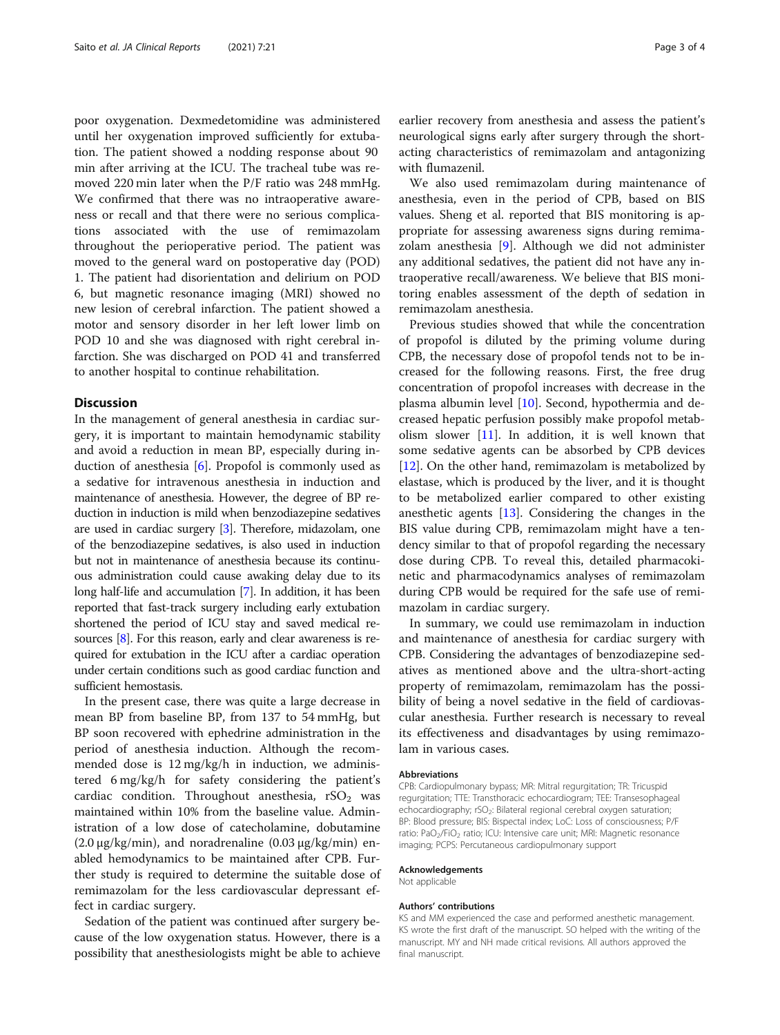poor oxygenation. Dexmedetomidine was administered until her oxygenation improved sufficiently for extubation. The patient showed a nodding response about 90 min after arriving at the ICU. The tracheal tube was removed 220 min later when the P/F ratio was 248 mmHg. We confirmed that there was no intraoperative awareness or recall and that there were no serious complications associated with the use of remimazolam throughout the perioperative period. The patient was moved to the general ward on postoperative day (POD) 1. The patient had disorientation and delirium on POD 6, but magnetic resonance imaging (MRI) showed no new lesion of cerebral infarction. The patient showed a motor and sensory disorder in her left lower limb on POD 10 and she was diagnosed with right cerebral infarction. She was discharged on POD 41 and transferred to another hospital to continue rehabilitation.

#### **Discussion**

In the management of general anesthesia in cardiac surgery, it is important to maintain hemodynamic stability and avoid a reduction in mean BP, especially during induction of anesthesia [\[6](#page-3-0)]. Propofol is commonly used as a sedative for intravenous anesthesia in induction and maintenance of anesthesia. However, the degree of BP reduction in induction is mild when benzodiazepine sedatives are used in cardiac surgery [\[3](#page-3-0)]. Therefore, midazolam, one of the benzodiazepine sedatives, is also used in induction but not in maintenance of anesthesia because its continuous administration could cause awaking delay due to its long half-life and accumulation [\[7\]](#page-3-0). In addition, it has been reported that fast-track surgery including early extubation shortened the period of ICU stay and saved medical resources [[8](#page-3-0)]. For this reason, early and clear awareness is required for extubation in the ICU after a cardiac operation under certain conditions such as good cardiac function and sufficient hemostasis.

In the present case, there was quite a large decrease in mean BP from baseline BP, from 137 to 54 mmHg, but BP soon recovered with ephedrine administration in the period of anesthesia induction. Although the recommended dose is 12 mg/kg/h in induction, we administered 6 mg/kg/h for safety considering the patient's cardiac condition. Throughout anesthesia,  $rSO<sub>2</sub>$  was maintained within 10% from the baseline value. Administration of a low dose of catecholamine, dobutamine  $(2.0 \mu g/kg/min)$ , and noradrenaline  $(0.03 \mu g/kg/min)$  enabled hemodynamics to be maintained after CPB. Further study is required to determine the suitable dose of remimazolam for the less cardiovascular depressant effect in cardiac surgery.

Sedation of the patient was continued after surgery because of the low oxygenation status. However, there is a possibility that anesthesiologists might be able to achieve

earlier recovery from anesthesia and assess the patient's neurological signs early after surgery through the shortacting characteristics of remimazolam and antagonizing with flumazenil.

We also used remimazolam during maintenance of anesthesia, even in the period of CPB, based on BIS values. Sheng et al. reported that BIS monitoring is appropriate for assessing awareness signs during remimazolam anesthesia [[9\]](#page-3-0). Although we did not administer any additional sedatives, the patient did not have any intraoperative recall/awareness. We believe that BIS monitoring enables assessment of the depth of sedation in remimazolam anesthesia.

Previous studies showed that while the concentration of propofol is diluted by the priming volume during CPB, the necessary dose of propofol tends not to be increased for the following reasons. First, the free drug concentration of propofol increases with decrease in the plasma albumin level [\[10](#page-3-0)]. Second, hypothermia and decreased hepatic perfusion possibly make propofol metabolism slower  $[11]$  $[11]$  $[11]$ . In addition, it is well known that some sedative agents can be absorbed by CPB devices [[12\]](#page-3-0). On the other hand, remimazolam is metabolized by elastase, which is produced by the liver, and it is thought to be metabolized earlier compared to other existing anesthetic agents [\[13](#page-3-0)]. Considering the changes in the BIS value during CPB, remimazolam might have a tendency similar to that of propofol regarding the necessary dose during CPB. To reveal this, detailed pharmacokinetic and pharmacodynamics analyses of remimazolam during CPB would be required for the safe use of remimazolam in cardiac surgery.

In summary, we could use remimazolam in induction and maintenance of anesthesia for cardiac surgery with CPB. Considering the advantages of benzodiazepine sedatives as mentioned above and the ultra-short-acting property of remimazolam, remimazolam has the possibility of being a novel sedative in the field of cardiovascular anesthesia. Further research is necessary to reveal its effectiveness and disadvantages by using remimazolam in various cases.

#### Abbreviations

CPB: Cardiopulmonary bypass; MR: Mitral regurgitation; TR: Tricuspid regurgitation; TTE: Transthoracic echocardiogram; TEE: Transesophageal echocardiography; rSO<sub>2</sub>: Bilateral regional cerebral oxygen saturation; BP: Blood pressure; BIS: Bispectal index; LoC: Loss of consciousness; P/F ratio: PaO<sub>2</sub>/FiO<sub>2</sub> ratio; ICU: Intensive care unit; MRI: Magnetic resonance imaging; PCPS: Percutaneous cardiopulmonary support

#### Acknowledgements

Not applicable

#### Authors' contributions

KS and MM experienced the case and performed anesthetic management. KS wrote the first draft of the manuscript. SO helped with the writing of the manuscript. MY and NH made critical revisions. All authors approved the final manuscript.